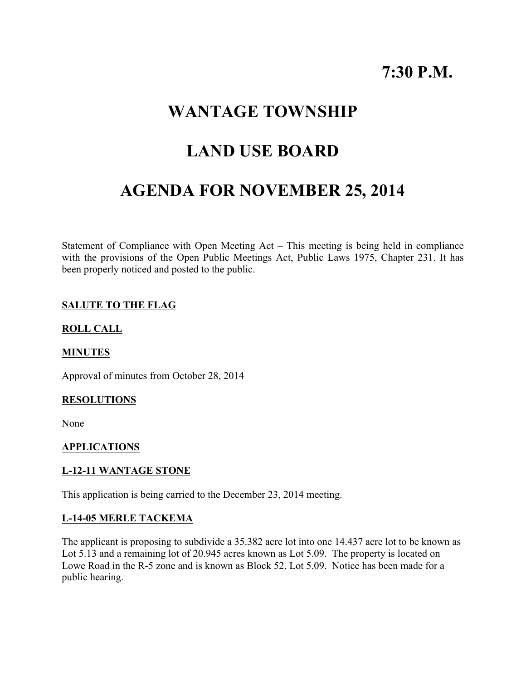# **7:30 P.M.**

## **WANTAGE TOWNSHIP**

## **LAND USE BOARD**

# **AGENDA FOR NOVEMBER 25, 2014**

Statement of Compliance with Open Meeting Act – This meeting is being held in compliance with the provisions of the Open Public Meetings Act, Public Laws 1975, Chapter 231. It has been properly noticed and posted to the public.

### **SALUTE TO THE FLAG**

#### **ROLL CALL**

#### **MINUTES**

Approval of minutes from October 28, 2014

#### **RESOLUTIONS**

None

#### **APPLICATIONS**

#### **L-12-11 WANTAGE STONE**

This application is being carried to the December 23, 2014 meeting.

#### **L-14-05 MERLE TACKEMA**

The applicant is proposing to subdivide a 35.382 acre lot into one 14.437 acre lot to be known as Lot 5.13 and a remaining lot of 20.945 acres known as Lot 5.09. The property is located on Lowe Road in the R-5 zone and is known as Block 52, Lot 5.09. Notice has been made for a public hearing.